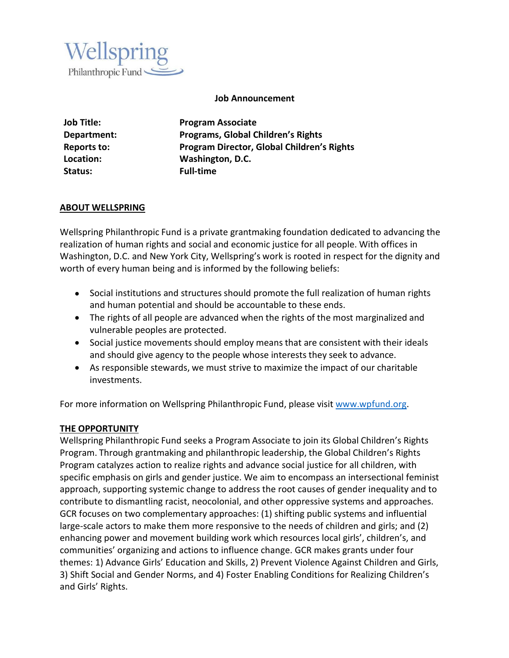

### **Job Announcement**

| <b>Job Title:</b>  | <b>Program Associate</b>                          |
|--------------------|---------------------------------------------------|
| Department:        | <b>Programs, Global Children's Rights</b>         |
| <b>Reports to:</b> | <b>Program Director, Global Children's Rights</b> |
| Location:          | Washington, D.C.                                  |
| Status:            | <b>Full-time</b>                                  |

### **ABOUT WELLSPRING**

Wellspring Philanthropic Fund is a private grantmaking foundation dedicated to advancing the realization of human rights and social and economic justice for all people. With offices in Washington, D.C. and New York City, Wellspring's work is rooted in respect for the dignity and worth of every human being and is informed by the following beliefs:

- Social institutions and structures should promote the full realization of human rights and human potential and should be accountable to these ends.
- The rights of all people are advanced when the rights of the most marginalized and vulnerable peoples are protected.
- Social justice movements should employ means that are consistent with their ideals and should give agency to the people whose interests they seek to advance.
- As responsible stewards, we must strive to maximize the impact of our charitable investments.

For more information on Wellspring Philanthropic Fund, please visit [www.wpfund.org.](http://www.wpfund.org/)

#### **THE OPPORTUNITY**

Wellspring Philanthropic Fund seeks a Program Associate to join its Global Children's Rights Program. Through grantmaking and philanthropic leadership, the Global Children's Rights Program catalyzes action to realize rights and advance social justice for all children, with specific emphasis on girls and gender justice. We aim to encompass an intersectional feminist approach, supporting systemic change to address the root causes of gender inequality and to contribute to dismantling racist, neocolonial, and other oppressive systems and approaches. GCR focuses on two complementary approaches: (1) shifting public systems and influential large-scale actors to make them more responsive to the needs of children and girls; and (2) enhancing power and movement building work which resources local girls', children's, and communities' organizing and actions to influence change. GCR makes grants under four themes: 1) Advance Girls' Education and Skills, 2) Prevent Violence Against Children and Girls, 3) Shift Social and Gender Norms, and 4) Foster Enabling Conditions for Realizing Children's and Girls' Rights.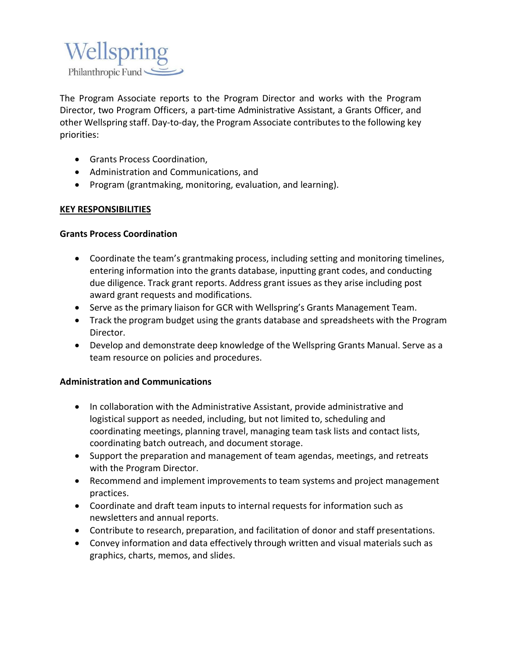

The Program Associate reports to the Program Director and works with the Program Director, two Program Officers, a part-time Administrative Assistant, a Grants Officer, and other Wellspring staff. Day-to-day, the Program Associate contributesto the following key priorities:

- Grants Process Coordination,
- Administration and Communications, and
- Program (grantmaking, monitoring, evaluation, and learning).

# **KEY RESPONSIBILITIES**

# **Grants Process Coordination**

- Coordinate the team's grantmaking process, including setting and monitoring timelines, entering information into the grants database, inputting grant codes, and conducting due diligence. Track grant reports. Address grant issues as they arise including post award grant requests and modifications.
- Serve as the primary liaison for GCR with Wellspring's Grants Management Team.
- Track the program budget using the grants database and spreadsheets with the Program Director.
- Develop and demonstrate deep knowledge of the Wellspring Grants Manual. Serve as a team resource on policies and procedures.

# **Administration and Communications**

- In collaboration with the Administrative Assistant, provide administrative and logistical support as needed, including, but not limited to, scheduling and coordinating meetings, planning travel, managing team task lists and contact lists, coordinating batch outreach, and document storage.
- Support the preparation and management of team agendas, meetings, and retreats with the Program Director.
- Recommend and implement improvements to team systems and project management practices.
- Coordinate and draft team inputs to internal requests for information such as newsletters and annual reports.
- Contribute to research, preparation, and facilitation of donor and staff presentations.
- Convey information and data effectively through written and visual materials such as graphics, charts, memos, and slides.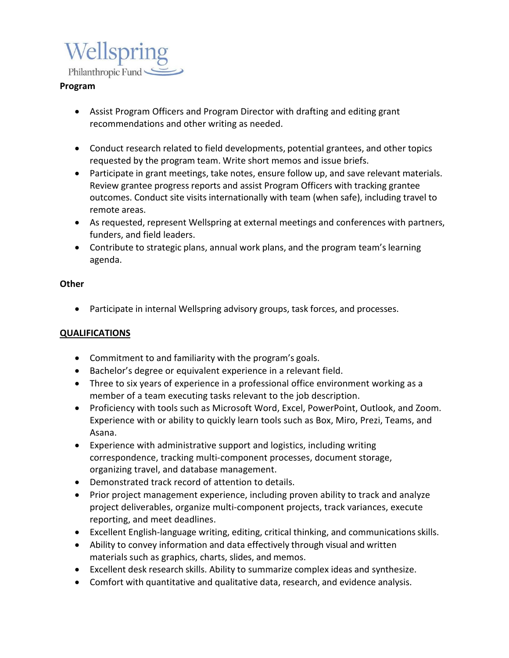

### **Program**

- Assist Program Officers and Program Director with drafting and editing grant recommendations and other writing as needed.
- Conduct research related to field developments, potential grantees, and other topics requested by the program team. Write short memos and issue briefs.
- Participate in grant meetings, take notes, ensure follow up, and save relevant materials. Review grantee progress reports and assist Program Officers with tracking grantee outcomes. Conduct site visits internationally with team (when safe), including travel to remote areas.
- As requested, represent Wellspring at external meetings and conferences with partners, funders, and field leaders.
- Contribute to strategic plans, annual work plans, and the program team's learning agenda.

# **Other**

• Participate in internal Wellspring advisory groups, task forces, and processes.

# **QUALIFICATIONS**

- Commitment to and familiarity with the program's goals.
- Bachelor's degree or equivalent experience in a relevant field.
- Three to six years of experience in a professional office environment working as a member of a team executing tasks relevant to the job description.
- Proficiency with tools such as Microsoft Word, Excel, PowerPoint, Outlook, and Zoom. Experience with or ability to quickly learn tools such as Box, Miro, Prezi, Teams, and Asana.
- Experience with administrative support and logistics, including writing correspondence, tracking multi-component processes, document storage, organizing travel, and database management.
- Demonstrated track record of attention to details.
- Prior project management experience, including proven ability to track and analyze project deliverables, organize multi-component projects, track variances, execute reporting, and meet deadlines.
- Excellent English-language writing, editing, critical thinking, and communications skills.
- Ability to convey information and data effectively through visual and written materials such as graphics, charts, slides, and memos.
- Excellent desk research skills. Ability to summarize complex ideas and synthesize.
- Comfort with quantitative and qualitative data, research, and evidence analysis.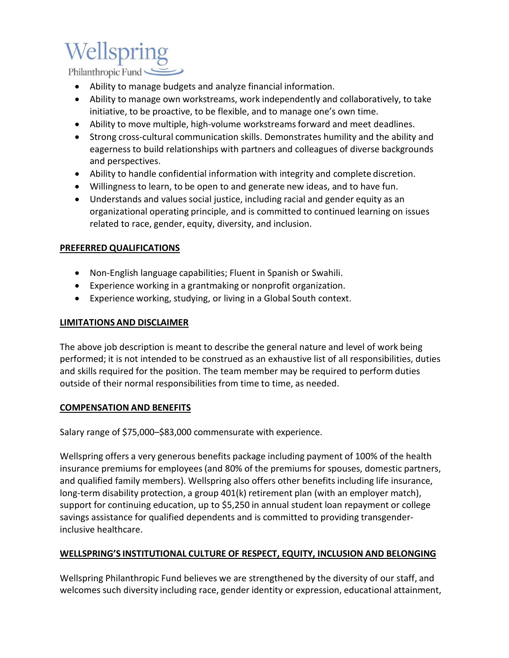# Wellspring

Philanthropic Fund

- Ability to manage budgets and analyze financial information.
- Ability to manage own workstreams, work independently and collaboratively, to take initiative, to be proactive, to be flexible, and to manage one's own time.
- Ability to move multiple, high-volume workstreams forward and meet deadlines.
- Strong cross-cultural communication skills. Demonstrates humility and the ability and eagerness to build relationships with partners and colleagues of diverse backgrounds and perspectives.
- Ability to handle confidential information with integrity and complete discretion.
- Willingness to learn, to be open to and generate new ideas, and to have fun.
- Understands and values social justice, including racial and gender equity as an organizational operating principle, and is committed to continued learning on issues related to race, gender, equity, diversity, and inclusion.

# **PREFERRED QUALIFICATIONS**

- Non-English language capabilities; Fluent in Spanish or Swahili.
- Experience working in a grantmaking or nonprofit organization.
- Experience working, studying, or living in a Global South context.

# **LIMITATIONS AND DISCLAIMER**

The above job description is meant to describe the general nature and level of work being performed; it is not intended to be construed as an exhaustive list of all responsibilities, duties and skills required for the position. The team member may be required to perform duties outside of their normal responsibilities from time to time, as needed.

# **COMPENSATION AND BENEFITS**

Salary range of \$75,000–\$83,000 commensurate with experience.

Wellspring offers a very generous benefits package including payment of 100% of the health insurance premiums for employees (and 80% of the premiums for spouses, domestic partners, and qualified family members). Wellspring also offers other benefits including life insurance, long-term disability protection, a group 401(k) retirement plan (with an employer match), support for continuing education, up to \$5,250 in annual student loan repayment or college savings assistance for qualified dependents and is committed to providing transgenderinclusive healthcare.

### **WELLSPRING'S INSTITUTIONAL CULTURE OF RESPECT, EQUITY, INCLUSION AND BELONGING**

Wellspring Philanthropic Fund believes we are strengthened by the diversity of our staff, and welcomes such diversity including race, gender identity or expression, educational attainment,